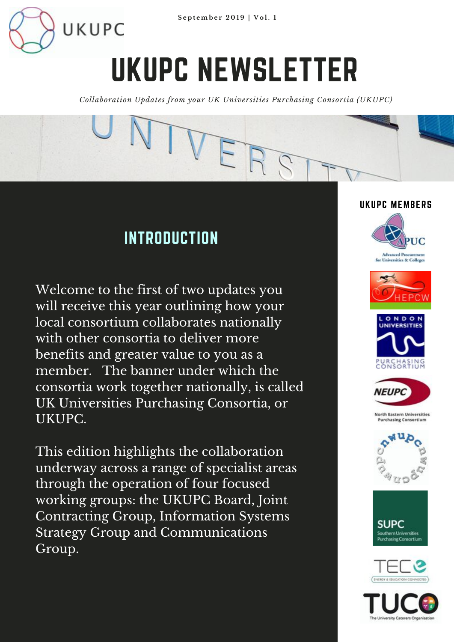

# UKUPC NEWSLETTER

*Collaboration Updates from your UK Universities Purchasing Consortia (UKUPC)*

TVER

#### **INTRODUCTION**

UKUPC

Welcome to the first of two updates you will receive this year outlining how your local consortium collaborates nationally with other consortia to deliver more benefits and greater value to you as a member. The banner under which the consortia work together nationally, is called UK Universities Purchasing Consortia, or UKUPC.

This edition highlights the collaboration underway across a range of specialist areas through the operation of four focused working groups: the UKUPC Board, Joint Contracting Group, Information Systems Strategy Group and Communications Group.

#### UKUPC MEMBERS









**North Eastern Universities Purchasing Consortium** 







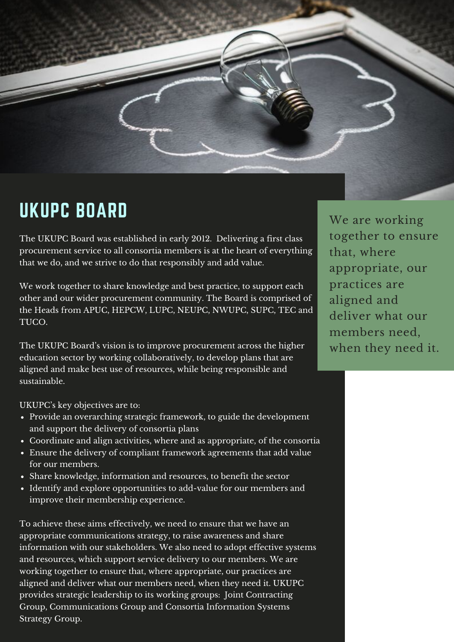

### UKUPC BOARD

The UKUPC Board was established in early 2012. Delivering a first class procurement service to all consortia members is at the heart of everything that we do, and we strive to do that responsibly and add value.

We work together to share knowledge and best practice, to support each other and our wider procurement community. The Board is comprised of the Heads from APUC, HEPCW, LUPC, NEUPC, NWUPC, SUPC, TEC and TUCO.

The UKUPC Board's vision is to improve procurement across the higher education sector by working collaboratively, to develop plans that are aligned and make best use of resources, while being responsible and sustainable.

UKUPC's key objectives are to:

- Provide an overarching strategic framework, to guide the development and support the delivery of consortia plans
- Coordinate and align activities, where and as appropriate, of the consortia
- Ensure the delivery of compliant framework agreements that add value for our members.
- Share knowledge, information and resources, to benefit the sector
- Identify and explore opportunities to add-value for our members and improve their membership experience.

To achieve these aims effectively, we need to ensure that we have an appropriate communications strategy, to raise awareness and share information with our stakeholders. We also need to adopt effective systems and resources, which support service delivery to our members. We are working together to ensure that, where appropriate, our practices are aligned and deliver what our members need, when they need it. UKUPC provides strategic leadership to its working groups: Joint Contracting Group, Communications Group and Consortia Information Systems Strategy Group.

We are working together to ensure that, where appropriate, our practices are aligned and deliver what our members need, when they need it.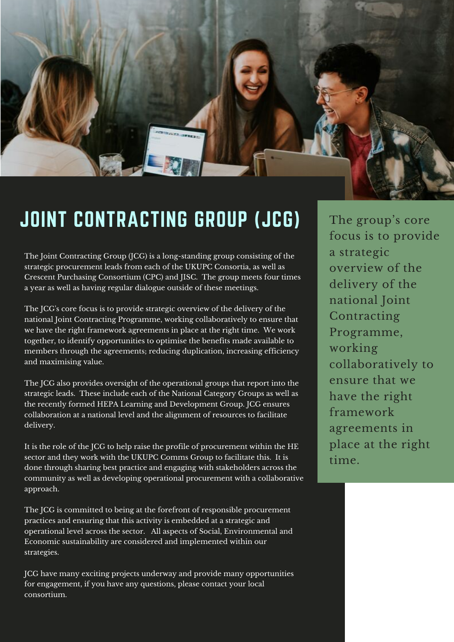

## JOINT CONTRACTING GROUP (JCG)

The Joint Contracting Group (JCG) is a long-standing group consisting of the strategic procurement leads from each of the UKUPC Consortia, as well as Crescent Purchasing Consortium (CPC) and JISC. The group meets four times a year as well as having regular dialogue outside of these meetings.

The JCG's core focus is to provide strategic overview of the delivery of the national Joint Contracting Programme, working collaboratively to ensure that we have the right framework agreements in place at the right time. We work together, to identify opportunities to optimise the benefits made available to members through the agreements; reducing duplication, increasing efficiency and maximising value.

The JCG also provides oversight of the operational groups that report into the strategic leads. These include each of the National Category Groups as well as the recently formed HEPA Learning and Development Group. JCG ensures collaboration at a national level and the alignment of resources to facilitate delivery.

It is the role of the JCG to help raise the profile of procurement within the HE sector and they work with the UKUPC Comms Group to facilitate this. It is done through sharing best practice and engaging with stakeholders across the community as well as developing operational procurement with a collaborative approach.

The JCG is committed to being at the forefront of responsible procurement practices and ensuring that this activity is embedded at a strategic and operational level across the sector. All aspects of Social, Environmental and Economic sustainability are considered and implemented within our strategies.

JCG have many exciting projects underway and provide many opportunities for engagement, if you have any questions, please contact your local consortium.

The group's core focus is to provide a strategic overview of the delivery of the national Joint Contracting Programme, working collaboratively to ensure that we have the right framework agreements in place at the right time.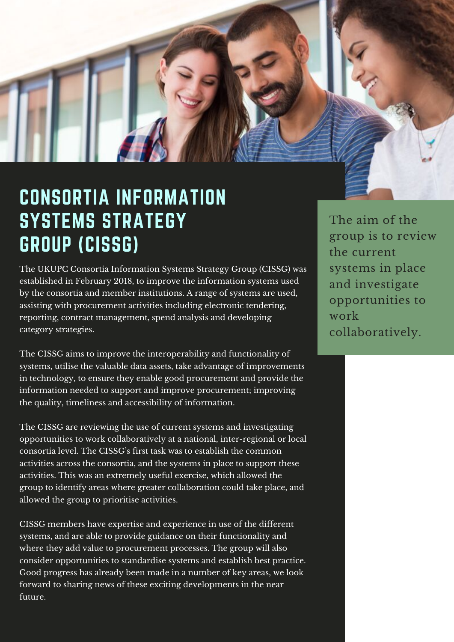

The UKUPC Consortia Information Systems Strategy Group (CISSG) was established in February 2018, to improve the information systems used by the consortia and member institutions. A range of systems are used, assisting with procurement activities including electronic tendering, reporting, contract management, spend analysis and developing category strategies.

The CISSG aims to improve the interoperability and functionality of systems, utilise the valuable data assets, take advantage of improvements in technology, to ensure they enable good procurement and provide the information needed to support and improve procurement; improving the quality, timeliness and accessibility of information.

The CISSG are reviewing the use of current systems and investigating opportunities to work collaboratively at a national, inter-regional or local consortia level. The CISSG's first task was to establish the common activities across the consortia, and the systems in place to support these activities. This was an extremely useful exercise, which allowed the group to identify areas where greater collaboration could take place, and allowed the group to prioritise activities.

CISSG members have expertise and experience in use of the different systems, and are able to provide guidance on their functionality and where they add value to procurement processes. The group will also consider opportunities to standardise systems and establish best practice. Good progress has already been made in a number of key areas, we look forward to sharing news of these exciting developments in the near future.

The aim of the group is to review the current systems in place and investigate opportunities to work collaboratively.